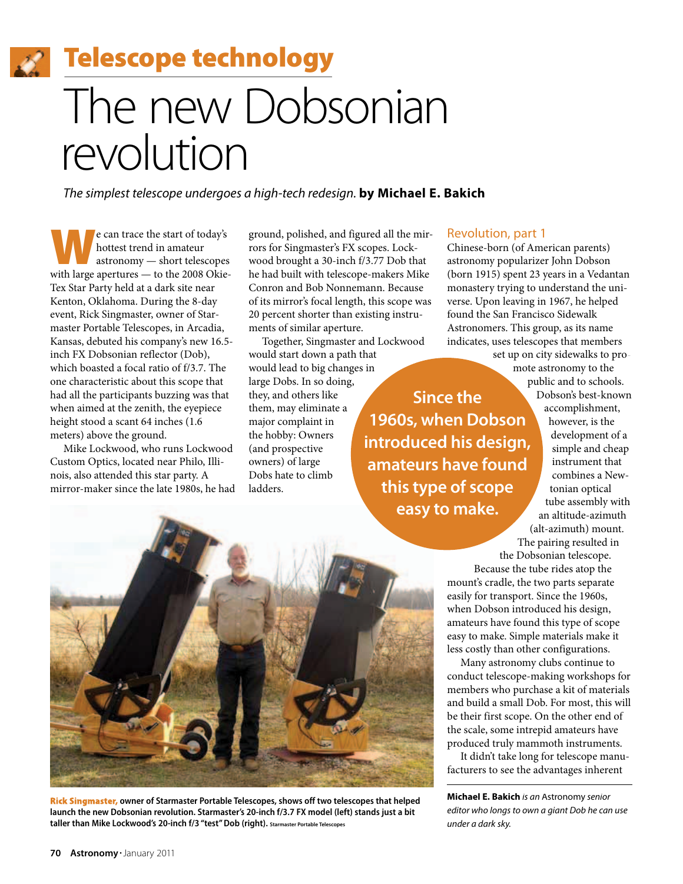**22 Telescope technology** 

# The new Dobsonian revolution

*The simplest telescope undergoes a high-tech redesign.* **by Michael E. Bakich**

e can trace the start of today's<br>
hottest trend in amateur<br>
astronomy — short telescopes<br>
with large apertures — to the 2008 Okiehottest trend in amateur with large apertures — to the 2008 Okie-Tex Star Party held at a dark site near Kenton, Oklahoma. During the 8-day event, Rick Singmaster, owner of Starmaster Portable Telescopes, in Arcadia, Kansas, debuted his company's new 16.5 inch FX Dobsonian reflector (Dob), which boasted a focal ratio of f/3.7. The one characteristic about this scope that had all the participants buzzing was that when aimed at the zenith, the eyepiece height stood a scant 64 inches (1.6 meters) above the ground.

Mike Lockwood, who runs Lockwood Custom Optics, located near Philo, Illinois, also attended this star party. A mirror-maker since the late 1980s, he had ground, polished, and figured all the mirrors for Singmaster's FX scopes. Lockwood brought a 30-inch f/3.77 Dob that he had built with telescope-makers Mike Conron and Bob Nonnemann. Because of its mirror's focal length, this scope was 20 percent shorter than existing instruments of similar aperture.

Together, Singmaster and Lockwood would start down a path that would lead to big changes in large Dobs. In so doing, they, and others like them, may eliminate a major complaint in the hobby: Owners (and prospective owners) of large Dobs hate to climb ladders. **1960s, when Dobson introduced his design, amateurs have found this type of scope**

## Revolution, part 1

**Since the**

Chinese-born (of American parents) astronomy popularizer John Dobson (born 1915) spent 23 years in a Vedantan monastery trying to understand the universe. Upon leaving in 1967, he helped found the San Francisco Sidewalk Astronomers. This group, as its name indicates, uses telescopes that members

set up on city sidewalks to promote astronomy to the public and to schools.

Dobson's best-known accomplishment, however, is the development of a simple and cheap instrument that combines a Newtonian optical tube assembly with an altitude-azimuth (alt-azimuth) mount. The pairing resulted in

the Dobsonian telescope. Because the tube rides atop the mount's cradle, the two parts separate easily for transport. Since the 1960s, when Dobson introduced his design, amateurs have found this type of scope easy to make. Simple materials make it less costly than other configurations.

Many astronomy clubs continue to conduct telescope-making workshops for members who purchase a kit of materials and build a small Dob. For most, this will be their first scope. On the other end of the scale, some intrepid amateurs have produced truly mammoth instruments.

It didn't take long for telescope manufacturers to see the advantages inherent

**Michael E. Bakich** *is an* Astronomy *senior editor who longs to own a giant Dob he can use under a dark sky.*



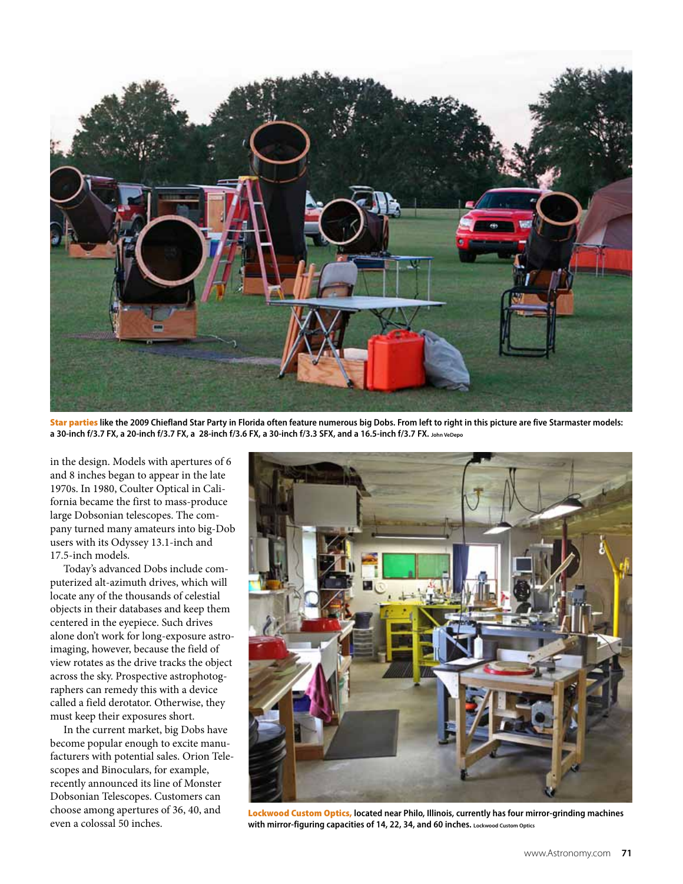

Star parties **like the 2009 Chiefland Star Party in Florida often feature numerous big Dobs. From left to right in this picture are five Starmaster models: a 30-inch f/3.7 FX, a 20-inch f/3.7 FX, a 28-inch f/3.6 FX, a 30-inch f/3.3 SFX, and a 16.5-inch f/3.7 FX. John VeDepo**

in the design. Models with apertures of 6 and 8 inches began to appear in the late 1970s. In 1980, Coulter Optical in California became the first to mass-produce large Dobsonian telescopes. The company turned many amateurs into big-Dob users with its Odyssey 13.1-inch and 17.5-inch models.

Today's advanced Dobs include computerized alt-azimuth drives, which will locate any of the thousands of celestial objects in their databases and keep them centered in the eyepiece. Such drives alone don't work for long-exposure astroimaging, however, because the field of view rotates as the drive tracks the object across the sky. Prospective astrophotographers can remedy this with a device called a field derotator. Otherwise, they must keep their exposures short.

In the current market, big Dobs have become popular enough to excite manufacturers with potential sales. Orion Telescopes and Binoculars, for example, recently announced its line of Monster Dobsonian Telescopes. Customers can choose among apertures of 36, 40, and even a colossal 50 inches.



Lockwood Custom Optics, **located near Philo, Illinois, currently has four mirror-grinding machines with mirror-figuring capacities of 14, 22, 34, and 60 inches. Lockwood Custom Optics**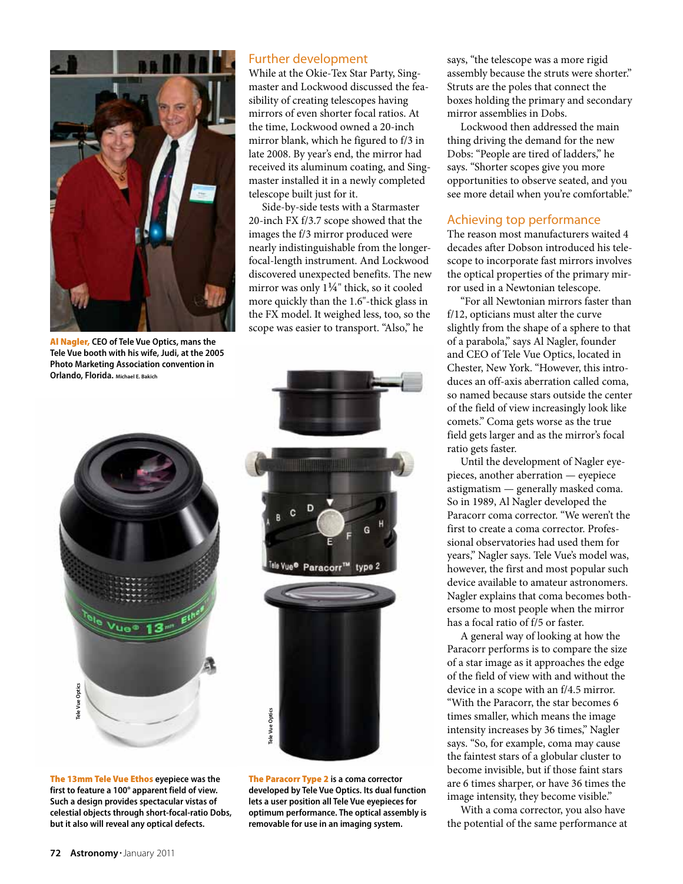

Al Nagler, **CEO of Tele Vue Optics, mans the Tele Vue booth with his wife, Judi, at the 2005 Photo Marketing Association convention in Orlando, Florida. Michael E. Bakich**

## Further development

While at the Okie-Tex Star Party, Singmaster and Lockwood discussed the feasibility of creating telescopes having mirrors of even shorter focal ratios. At the time, Lockwood owned a 20-inch mirror blank, which he figured to f/3 in late 2008. By year's end, the mirror had received its aluminum coating, and Singmaster installed it in a newly completed telescope built just for it.

Side-by-side tests with a Starmaster 20-inch FX f/3.7 scope showed that the images the f/3 mirror produced were nearly indistinguishable from the longerfocal-length instrument. And Lockwood discovered unexpected benefits. The new mirror was only 1¼" thick, so it cooled more quickly than the 1.6"-thick glass in the FX model. It weighed less, too, so the scope was easier to transport. "Also," he





The 13mm Tele Vue Ethos **eyepiece was the first to feature a 100° apparent field of view. Such a design provides spectacular vistas of celestial objects through short-focal-ratio Dobs, but it also will reveal any optical defects.**

The Paracorr Type 2 **is a coma corrector developed by Tele Vue Optics. Its dual function lets a user position all Tele Vue eyepieces for optimum performance. The optical assembly is removable for use in an imaging system.**

says, "the telescope was a more rigid assembly because the struts were shorter." Struts are the poles that connect the boxes holding the primary and secondary mirror assemblies in Dobs.

Lockwood then addressed the main thing driving the demand for the new Dobs: "People are tired of ladders," he says. "Shorter scopes give you more opportunities to observe seated, and you see more detail when you're comfortable."

## Achieving top performance

The reason most manufacturers waited 4 decades after Dobson introduced his telescope to incorporate fast mirrors involves the optical properties of the primary mirror used in a Newtonian telescope.

"For all Newtonian mirrors faster than f/12, opticians must alter the curve slightly from the shape of a sphere to that of a parabola," says Al Nagler, founder and CEO of Tele Vue Optics, located in Chester, New York. "However, this introduces an off-axis aberration called coma, so named because stars outside the center of the field of view increasingly look like comets." Coma gets worse as the true field gets larger and as the mirror's focal ratio gets faster.

Until the development of Nagler eyepieces, another aberration — eyepiece astigmatism — generally masked coma. So in 1989, Al Nagler developed the Paracorr coma corrector. "We weren't the first to create a coma corrector. Professional observatories had used them for years," Nagler says. Tele Vue's model was, however, the first and most popular such device available to amateur astronomers. Nagler explains that coma becomes bothersome to most people when the mirror has a focal ratio of f/5 or faster.

A general way of looking at how the Paracorr performs is to compare the size of a star image as it approaches the edge of the field of view with and without the device in a scope with an f/4.5 mirror. "With the Paracorr, the star becomes 6 times smaller, which means the image intensity increases by 36 times," Nagler says. "So, for example, coma may cause the faintest stars of a globular cluster to become invisible, but if those faint stars are 6 times sharper, or have 36 times the image intensity, they become visible."

With a coma corrector, you also have the potential of the same performance at